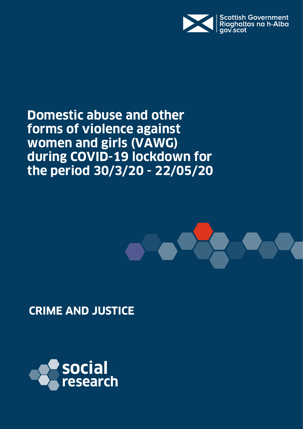

**Domestic abuse and other forms of violence against women and girls (VAWG) during COVID-19 lockdown for the period 30/3/20 - 22/05/20**



**CRIME AND JUSTICE**

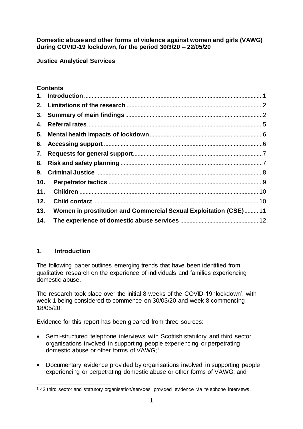**Domestic abuse and other forms of violence against women and girls (VAWG) during COVID-19 lockdown, for the period 30/3/20 – 22/05/20**

**Justice Analytical Services**

# **Contents**

| 4.  |                                                                   |  |
|-----|-------------------------------------------------------------------|--|
|     |                                                                   |  |
|     |                                                                   |  |
|     |                                                                   |  |
|     |                                                                   |  |
| 9.  |                                                                   |  |
| 10. |                                                                   |  |
| 11. |                                                                   |  |
| 12. |                                                                   |  |
| 13. | Women in prostitution and Commercial Sexual Exploitation (CSE) 11 |  |
| 14. |                                                                   |  |

# <span id="page-1-0"></span>**1. Introduction**

The following paper outlines emerging trends that have been identified from qualitative research on the experience of individuals and families experiencing domestic abuse.

The research took place over the initial 8 weeks of the COVID-19 'lockdown', with week 1 being considered to commence on 30/03/20 and week 8 commencing 18/05/20.

Evidence for this report has been gleaned from three sources:

- Semi-structured telephone interviews with Scottish statutory and third sector organisations involved in supporting people experiencing or perpetrating domestic abuse or other forms of VAWG;<sup>1</sup>
- Documentary evidence provided by organisations involved in supporting people experiencing or perpetrating domestic abuse or other forms of VAWG; and

 $\overline{a}$ <sup>1</sup> 42 third sector and statutory organisation/services provided evidence via telephone interviews.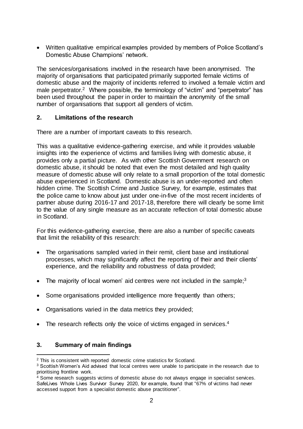Written qualitative empirical examples provided by members of Police Scotland's Domestic Abuse Champions' network.

The services/organisations involved in the research have been anonymised. The majority of organisations that participated primarily supported female victims of domestic abuse and the majority of incidents referred to involved a female victim and male perpetrator.<sup>2</sup> Where possible, the terminology of "victim" and "perpetrator" has been used throughout the paper in order to maintain the anonymity of the small number of organisations that support all genders of victim.

## <span id="page-2-0"></span>**2. Limitations of the research**

There are a number of important caveats to this research.

This was a qualitative evidence-gathering exercise, and while it provides valuable insights into the experience of victims and families living with domestic abuse, it provides only a partial picture. As with other Scottish Government research on domestic abuse, it should be noted that even the most detailed and high quality measure of domestic abuse will only relate to a small proportion of the total domestic abuse experienced in Scotland. Domestic abuse is an under-reported and often hidden crime. The Scottish Crime and Justice Survey, for example, estimates that the police came to know about just under one-in-five of the most recent incidents of partner abuse during 2016-17 and 2017-18, therefore there will clearly be some limit to the value of any single measure as an accurate reflection of total domestic abuse in Scotland.

For this evidence-gathering exercise, there are also a number of specific caveats that limit the reliability of this research:

- The organisations sampled varied in their remit, client base and institutional processes, which may significantly affect the reporting of their and their clients' experience, and the reliability and robustness of data provided;
- The majority of local women' aid centres were not included in the sample; $3$
- Some organisations provided intelligence more frequently than others;
- Organisations varied in the data metrics they provided;
- The research reflects only the voice of victims engaged in services.<sup>4</sup>

# <span id="page-2-1"></span>**3. Summary of main findings**

 $\overline{a}$ 

<sup>&</sup>lt;sup>2</sup> This is consistent with reported domestic crime statistics for Scotland.

<sup>&</sup>lt;sup>3</sup> Scottish Women's Aid advised that local centres were unable to participate in the research due to prioritising frontline work.

<sup>4</sup> Some research suggests victims of domestic abuse do not always engage in specialist services. SafeLives Whole Lives Survivor Survey 2020, for example, found that "67% of victims had never accessed support from a specialist domestic abuse practitioner".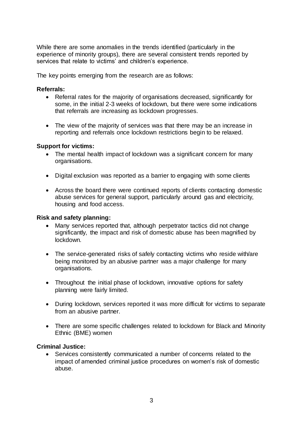While there are some anomalies in the trends identified (particularly in the experience of minority groups), there are several consistent trends reported by services that relate to victims' and children's experience.

The key points emerging from the research are as follows:

#### **Referrals:**

- Referral rates for the majority of organisations decreased, significantly for some, in the initial 2-3 weeks of lockdown, but there were some indications that referrals are increasing as lockdown progresses.
- The view of the majority of services was that there may be an increase in reporting and referrals once lockdown restrictions begin to be relaxed.

#### **Support for victims:**

- The mental health impact of lockdown was a significant concern for many organisations.
- Digital exclusion was reported as a barrier to engaging with some clients
- Across the board there were continued reports of clients contacting domestic abuse services for general support, particularly around gas and electricity, housing and food access.

#### **Risk and safety planning:**

- Many services reported that, although perpetrator tactics did not change significantly, the impact and risk of domestic abuse has been magnified by lockdown.
- The service-generated risks of safely contacting victims who reside with/are being monitored by an abusive partner was a major challenge for many organisations.
- Throughout the initial phase of lockdown, innovative options for safety planning were fairly limited.
- During lockdown, services reported it was more difficult for victims to separate from an abusive partner.
- There are some specific challenges related to lockdown for Black and Minority Ethnic (BME) women

### **Criminal Justice:**

 Services consistently communicated a number of concerns related to the impact of amended criminal justice procedures on women's risk of domestic abuse.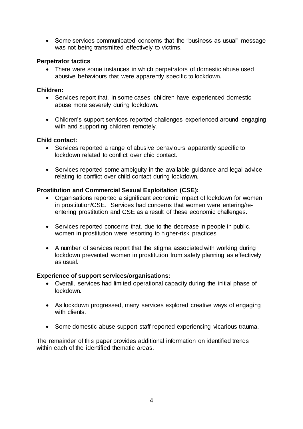• Some services communicated concerns that the "business as usual" message was not being transmitted effectively to victims.

### **Perpetrator tactics**

 There were some instances in which perpetrators of domestic abuse used abusive behaviours that were apparently specific to lockdown.

#### **Children:**

- Services report that, in some cases, children have experienced domestic abuse more severely during lockdown.
- Children's support services reported challenges experienced around engaging with and supporting children remotely.

### **Child contact:**

- Services reported a range of abusive behaviours apparently specific to lockdown related to conflict over chid contact.
- Services reported some ambiguity in the available guidance and legal advice relating to conflict over child contact during lockdown.

### **Prostitution and Commercial Sexual Exploitation (CSE):**

- Organisations reported a significant economic impact of lockdown for women in prostitution/CSE. Services had concerns that women were entering/reentering prostitution and CSE as a result of these economic challenges.
- Services reported concerns that, due to the decrease in people in public, women in prostitution were resorting to higher-risk practices
- A number of services report that the stigma associated with working during lockdown prevented women in prostitution from safety planning as effectively as usual.

### **Experience of support services/organisations:**

- Overall, services had limited operational capacity during the initial phase of lockdown.
- As lockdown progressed, many services explored creative ways of engaging with clients.
- Some domestic abuse support staff reported experiencing vicarious trauma.

The remainder of this paper provides additional information on identified trends within each of the identified thematic areas.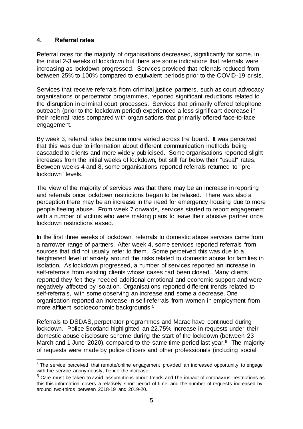## <span id="page-5-0"></span>**4. Referral rates**

l

Referral rates for the majority of organisations decreased, significantly for some, in the initial 2-3 weeks of lockdown but there are some indications that referrals were increasing as lockdown progressed. Services provided that referrals reduced from between 25% to 100% compared to equivalent periods prior to the COVID-19 crisis.

Services that receive referrals from criminal justice partners, such as court advocacy organisations or perpetrator programmes, reported significant reductions related to the disruption in criminal court processes. Services that primarily offered telephone outreach (prior to the lockdown period) experienced a less significant decrease in their referral rates compared with organisations that primarily offered face-to-face engagement.

By week 3, referral rates became more varied across the board. It was perceived that this was due to information about different communication methods being cascaded to clients and more widely publicised. Some organisations reported slight increases from the initial weeks of lockdown, but still far below their "usual" rates. Between weeks 4 and 8, some organisations reported referrals returned to "prelockdown" levels.

The view of the majority of services was that there may be an increase in reporting and referrals once lockdown restrictions began to be relaxed. There was also a perception there may be an increase in the need for emergency housing due to more people fleeing abuse. From week 7 onwards, services started to report engagement with a number of victims who were making plans to leave their abusive partner once lockdown restrictions eased.

In the first three weeks of lockdown, referrals to domestic abuse services came from a narrower range of partners. After week 4, some services reported referrals from sources that did not usually refer to them. Some perceived this was due to a heightened level of anxiety around the risks related to domestic abuse for families in isolation. As lockdown progressed, a number of services reported an increase in self-referrals from existing clients whose cases had been closed. Many clients reported they felt they needed additional emotional and economic support and were negatively affected by isolation. Organisations reported different trends related to self-referrals, with some observing an increase and some a decrease. One organisation reported an increase in self-referrals from women in employment from more affluent socioeconomic backgrounds.<sup>5</sup>

Referrals to DSDAS, perpetrator programmes and Marac have continued during lockdown. Police Scotland highlighted an 22.75% increase in requests under their domestic abuse disclosure scheme during the start of the lockdown (between 23 March and 1 June 2020), compared to the same time period last year. $6$  The majority of requests were made by police officers and other professionals (including social

<sup>&</sup>lt;sup>5</sup> The service perceived that remote/online engagement provided an increased opportunity to engage with the service anonymously, hence the increase.

 $6$  Care must be taken to avoid assumptions about trends and the impact of coronavirus restrictions as this this information covers a relatively short period of time, and the number of requests increased by around two-thirds between 2018-19 and 2019-20.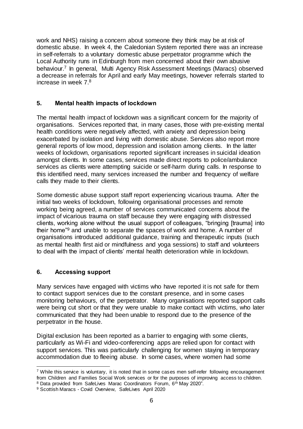work and NHS) raising a concern about someone they think may be at risk of domestic abuse. In week 4, the Caledonian System reported there was an increase in self-referrals to a voluntary domestic abuse perpetrator programme which the Local Authority runs in Edinburgh from men concerned about their own abusive behaviour.<sup>7</sup> In general, Multi Agency Risk Assessment Meetings (Maracs) observed a decrease in referrals for April and early May meetings, however referrals started to increase in week 7.<sup>8</sup>

# <span id="page-6-0"></span>**5. Mental health impacts of lockdown**

The mental health impact of lockdown was a significant concern for the majority of organisations. Services reported that, in many cases, those with pre-existing mental health conditions were negatively affected, with anxiety and depression being exacerbated by isolation and living with domestic abuse. Services also report more general reports of low mood, depression and isolation among clients. In the latter weeks of lockdown, organisations reported significant increases in suicidal ideation amongst clients. In some cases, services made direct reports to police/ambulance services as clients were attempting suicide or self-harm during calls. In response to this identified need, many services increased the number and frequency of welfare calls they made to their clients.

Some domestic abuse support staff report experiencing vicarious trauma. After the initial two weeks of lockdown, following organisational processes and remote working being agreed, a number of services communicated concerns about the impact of vicarious trauma on staff because they were engaging with distressed clients, working alone without the usual support of colleagues, "bringing [trauma] into their home"<sup>9</sup> and unable to separate the spaces of work and home. A number of organisations introduced additional guidance, training and therapeutic inputs (such as mental health first aid or mindfulness and yoga sessions) to staff and volunteers to deal with the impact of clients' mental health deterioration while in lockdown.

# <span id="page-6-1"></span>**6. Accessing support**

Many services have engaged with victims who have reported it is not safe for them to contact support services due to the constant presence, and in some cases monitoring behaviours, of the perpetrator. Many organisations reported support calls were being cut short or that they were unable to make contact with victims, who later communicated that they had been unable to respond due to the presence of the perpetrator in the house.

Digital exclusion has been reported as a barrier to engaging with some clients, particularly as Wi-Fi and video-conferencing apps are relied upon for contact with support services. This was particularly challenging for women staying in temporary accommodation due to fleeing abuse. In some cases, where women had some

 $\overline{a}$ <sup>7</sup> While this service is voluntary, it is noted that in some cases men self-refer following encouragement from Children and Families Social Work services or for the purposes of improving access to children. <sup>8</sup> Data provided from SafeLives Marac Coordinators Forum, 6<sup>th</sup> May 2020".

<sup>9</sup> Scottish Maracs - Covid Overview, SafeLives April 2020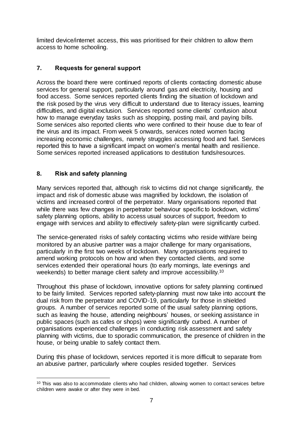limited device/internet access, this was prioritised for their children to allow them access to home schooling.

# <span id="page-7-0"></span>**7. Requests for general support**

Across the board there were continued reports of clients contacting domestic abuse services for general support, particularly around gas and electricity, housing and food access. Some services reported clients finding the situation of lockdown and the risk posed by the virus very difficult to understand due to literacy issues, learning difficulties, and digital exclusion. Services reported some clients' confusion about how to manage everyday tasks such as shopping, posting mail, and paying bills. Some services also reported clients who were confined to their house due to fear of the virus and its impact. From week 5 onwards, services noted women facing increasing economic challenges, namely struggles accessing food and fuel. Services reported this to have a significant impact on women's mental health and resilience. Some services reported increased applications to destitution funds/resources.

# <span id="page-7-1"></span>**8. Risk and safety planning**

Many services reported that, although risk to victims did not change significantly, the impact and risk of domestic abuse was magnified by lockdown, the isolation of victims and increased control of the perpetrator. Many organisations reported that while there was few changes in perpetrator behaviour specific to lockdown, victims' safety planning options, ability to access usual sources of support, freedom to engage with services and ability to effectively safety-plan were significantly curbed.

The service-generated risks of safely contacting victims who reside with/are being monitored by an abusive partner was a major challenge for many organisations, particularly in the first two weeks of lockdown. Many organisations required to amend working protocols on how and when they contacted clients, and some services extended their operational hours (to early mornings, late evenings and weekends) to better manage client safety and improve accessibility.<sup>10</sup>

Throughout this phase of lockdown, innovative options for safety planning continued to be fairly limited. Services reported safety-planning must now take into account the dual risk from the perpetrator and COVID-19, particularly for those in shielded groups. A number of services reported some of the usual safety planning options, such as leaving the house, attending neighbours' houses, or seeking assistance in public spaces (such as cafes or shops) were significantly curbed. A number of organisations experienced challenges in conducting risk assessment and safety planning with victims, due to sporadic communication, the presence of children in the house, or being unable to safely contact them.

During this phase of lockdown, services reported it is more difficult to separate from an abusive partner, particularly where couples resided together. Services

 $\overline{a}$ <sup>10</sup> This was also to accommodate clients who had children, allowing women to contact services before children were awake or after they were in bed.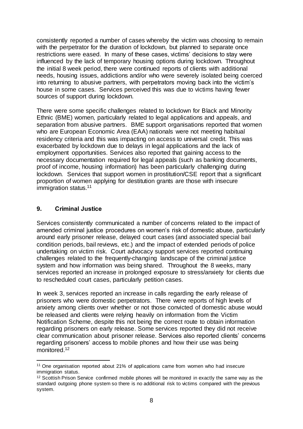consistently reported a number of cases whereby the victim was choosing to remain with the perpetrator for the duration of lockdown, but planned to separate once restrictions were eased. In many of these cases, victims' decisions to stay were influenced by the lack of temporary housing options during lockdown. Throughout the initial 8 week period, there were continued reports of clients with additional needs, housing issues, addictions and/or who were severely isolated being coerced into returning to abusive partners, with perpetrators moving back into the victim's house in some cases. Services perceived this was due to victims having fewer sources of support during lockdown.

There were some specific challenges related to lockdown for Black and Minority Ethnic (BME) women, particularly related to legal applications and appeals, and separation from abusive partners. BME support organisations reported that women who are European Economic Area (EAA) nationals were not meeting habitual residency criteria and this was impacting on access to universal credit. This was exacerbated by lockdown due to delays in legal applications and the lack of employment opportunities. Services also reported that gaining access to the necessary documentation required for legal appeals (such as banking documents, proof of income, housing information) has been particularly challenging during lockdown. Services that support women in prostitution/CSE report that a significant proportion of women applying for destitution grants are those with insecure immigration status.<sup>11</sup>

## <span id="page-8-0"></span>**9. Criminal Justice**

l

Services consistently communicated a number of concerns related to the impact of amended criminal justice procedures on women's risk of domestic abuse, particularly around early prisoner release, delayed court cases (and associated special bail condition periods, bail reviews, etc.) and the impact of extended periods of police undertaking on victim risk. Court advocacy support services reported continuing challenges related to the frequently-changing landscape of the criminal justice system and how information was being shared. Throughout the 8 weeks, many services reported an increase in prolonged exposure to stress/anxiety for clients due to rescheduled court cases, particularly petition cases.

In week 3, services reported an increase in calls regarding the early release of prisoners who were domestic perpetrators. There were reports of high levels of anxiety among clients over whether or not those convicted of domestic abuse would be released and clients were relying heavily on information from the Victim Notification Scheme, despite this not being the correct route to obtain information regarding prisoners on early release. Some services reported they did not receive clear communication about prisoner release. Services also reported clients' concerns regarding prisoners' access to mobile phones and how their use was being monitored.<sup>12</sup>

<sup>11</sup> One organisation reported about 21% of applications came from women who had insecure immigration status.

<sup>&</sup>lt;sup>12</sup> Scottish Prison Service confirmed mobile phones will be monitored in exactly the same way as the standard outgoing phone system so there is no additional risk to victims compared with the previous system.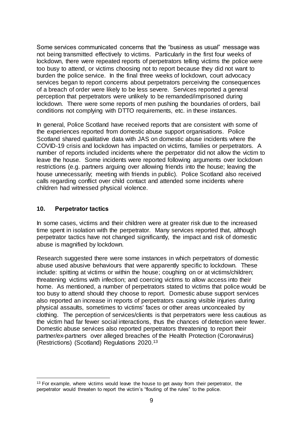Some services communicated concerns that the "business as usual" message was not being transmitted effectively to victims. Particularly in the first four weeks of lockdown, there were repeated reports of perpetrators telling victims the police were too busy to attend, or victims choosing not to report because they did not want to burden the police service. In the final three weeks of lockdown, court advocacy services began to report concerns about perpetrators perceiving the consequences of a breach of order were likely to be less severe. Services reported a general perception that perpetrators were unlikely to be remanded/imprisoned during lockdown. There were some reports of men pushing the boundaries of orders, bail conditions not complying with DTTO requirements, etc. in these instances.

In general, Police Scotland have received reports that are consistent with some of the experiences reported from domestic abuse support organisations. Police Scotland shared qualitative data with JAS on domestic abuse incidents where the COVID-19 crisis and lockdown has impacted on victims, families or perpetrators. A number of reports included incidents where the perpetrator did not allow the victim to leave the house. Some incidents were reported following arguments over lockdown restrictions (e.g. partners arguing over allowing friends into the house; leaving the house unnecessarily; meeting with friends in public). Police Scotland also received calls regarding conflict over child contact and attended some incidents where children had witnessed physical violence.

### <span id="page-9-0"></span>**10. Perpetrator tactics**

 $\overline{a}$ 

In some cases, victims and their children were at greater risk due to the increased time spent in isolation with the perpetrator.Many services reported that, although perpetrator tactics have not changed significantly, the impact and risk of domestic abuse is magnified by lockdown.

Research suggested there were some instances in which perpetrators of domestic abuse used abusive behaviours that were apparently specific to lockdown. These include: spitting at victims or within the house; coughing on or at victims/children; threatening victims with infection; and coercing victims to allow access into their home. As mentioned, a number of perpetrators stated to victims that police would be too busy to attend should they choose to report. Domestic abuse support services also reported an increase in reports of perpetrators causing visible injuries during physical assaults, sometimes to victims' faces or other areas unconcealed by clothing. The perception of services/clients is that perpetrators were less cautious as the victim had far fewer social interactions, thus the chances of detection were fewer. Domestic abuse services also reported perpetrators threatening to report their partner/ex-partners over alleged breaches of the Health Protection (Coronavirus) (Restrictions) (Scotland) Regulations 2020.<sup>13</sup>

 $13$  For example, where victims would leave the house to get away from their perpetrator, the perpetrator would threaten to report the victim's "flouting of the rules" to the police.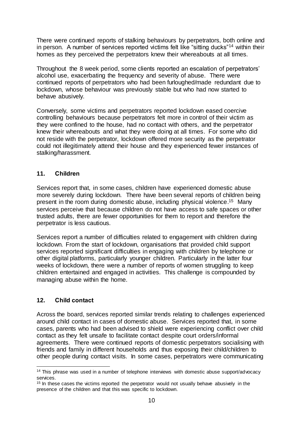There were continued reports of stalking behaviours by perpetrators, both online and in person. A number of services reported victims felt like "sitting ducks"<sup>14</sup> within their homes as they perceived the perpetrators knew their whereabouts at all times.

Throughout the 8 week period, some clients reported an escalation of perpetrators' alcohol use, exacerbating the frequency and severity of abuse. There were continued reports of perpetrators who had been furloughed/made redundant due to lockdown, whose behaviour was previously stable but who had now started to behave abusively.

Conversely, some victims and perpetrators reported lockdown eased coercive controlling behaviours because perpetrators felt more in control of their victim as they were confined to the house, had no contact with others, and the perpetrator knew their whereabouts and what they were doing at all times. For some who did not reside with the perpetrator, lockdown offered more security as the perpetrator could not illegitimately attend their house and they experienced fewer instances of stalking/harassment.

## <span id="page-10-0"></span>**11. Children**

Services report that, in some cases, children have experienced domestic abuse more severely during lockdown. There have been several reports of children being present in the room during domestic abuse, including physical violence. <sup>15</sup> Many services perceive that because children do not have access to safe spaces or other trusted adults, there are fewer opportunities for them to report and therefore the perpetrator is less cautious.

Services report a number of difficulties related to engagement with children during lockdown. From the start of lockdown, organisations that provided child support services reported significant difficulties in engaging with children by telephone or other digital platforms, particularly younger children. Particularly in the latter four weeks of lockdown, there were a number of reports of women struggling to keep children entertained and engaged in activities. This challenge is compounded by managing abuse within the home.

# <span id="page-10-1"></span>**12. Child contact**

Across the board, services reported similar trends relating to challenges experienced around child contact in cases of domestic abuse. Services reported that, in some cases, parents who had been advised to shield were experiencing conflict over child contact as they felt unsafe to facilitate contact despite court orders/informal agreements. There were continued reports of domestic perpetrators socialising with friends and family in different households and thus exposing their child/children to other people during contact visits. In some cases, perpetrators were communicating

 $\overline{a}$ <sup>14</sup> This phrase was used in a number of telephone interviews with domestic abuse support/advocacy services.

<sup>&</sup>lt;sup>15</sup> In these cases the victims reported the perpetrator would not usually behave abusively in the presence of the children and that this was specific to lockdown.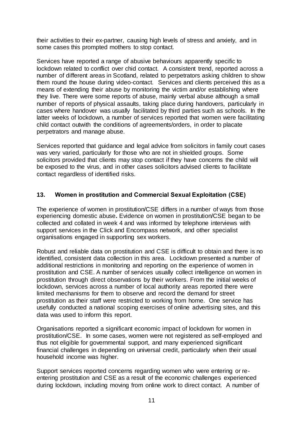their activities to their ex-partner, causing high levels of stress and anxiety, and in some cases this prompted mothers to stop contact.

Services have reported a range of abusive behaviours apparently specific to lockdown related to conflict over chid contact.A consistent trend, reported across a number of different areas in Scotland, related to perpetrators asking children to show them round the house during video-contact. Services and clients perceived this as a means of extending their abuse by monitoring the victim and/or establishing where they live. There were some reports of abuse, mainly verbal abuse although a small number of reports of physical assaults, taking place during handovers, particularly in cases where handover was usually facilitated by third parties such as schools. In the latter weeks of lockdown, a number of services reported that women were facilitating child contact outwith the conditions of agreements/orders, in order to placate perpetrators and manage abuse.

Services reported that guidance and legal advice from solicitors in family court cases was very varied, particularly for those who are not in shielded groups. Some solicitors provided that clients may stop contact if they have concerns the child will be exposed to the virus, and in other cases solicitors advised clients to facilitate contact regardless of identified risks.

## <span id="page-11-0"></span>**13. Women in prostitution and Commercial Sexual Exploitation (CSE)**

The experience of women in prostitution/CSE differs in a number of ways from those experiencing domestic abuse**.** Evidence on women in prostitution/CSE began to be collected and collated in week 4 and was informed by telephone interviews with support services in the Click and Encompass network, and other specialist organisations engaged in supporting sex workers.

Robust and reliable data on prostitution and CSE is difficult to obtain and there is no identified, consistent data collection in this area. Lockdown presented a number of additional restrictions in monitoring and reporting on the experience of women in prostitution and CSE. A number of services usually collect intelligence on women in prostitution through direct observations by their workers. From the initial weeks of lockdown, services across a number of local authority areas reported there were limited mechanisms for them to observe and record the demand for street prostitution as their staff were restricted to working from home. One service has usefully conducted a national scoping exercises of online advertising sites, and this data was used to inform this report.

Organisations reported a significant economic impact of lockdown for women in prostitution/CSE. In some cases, women were not registered as self-employed and thus not eligible for governmental support, and many experienced significant financial challenges in depending on universal credit, particularly when their usual household income was higher.

Support services reported concerns regarding women who were entering or reentering prostitution and CSE as a result of the economic challenges experienced during lockdown, including moving from online work to direct contact. A number of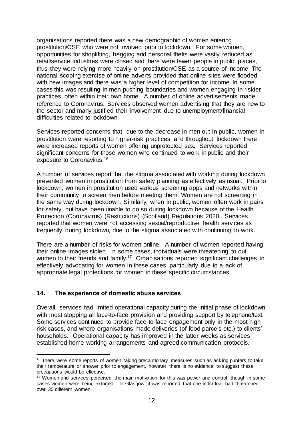organisations reported there was a new demographic of women entering prostitution/CSE who were not involved prior to lockdown. For some women, opportunities for shoplifting, begging and personal thefts were vastly reduced as retail/service industries were closed and there were fewer people in public places, thus they were relying more heavily on prostitution/CSE as a source of income. The national scoping exercise of online adverts provided that online sites were flooded with new images and there was a higher level of competition for income. In some cases this was resulting in men pushing boundaries and women engaging in riskier practices, often within their own home.A number of online advertisements made reference to Coronavirus. Services observed women advertising that they are new to the sector and many justified their involvement due to unemployment/financial difficulties related to lockdown.

Services reported concerns that, due to the decrease in men out in public, women in prostitution were resorting to higher-risk practices, and throughout lockdown there were increased reports of women offering unprotected sex. Services reported significant concerns for those women who continued to work in public and their exposure to Coronavirus.<sup>16</sup>

A number of services report that the stigma associated with working during lockdown prevented women in prostitution from safety planning as effectively as usual. Prior to lockdown, women in prostitution used various screening apps and networks within their community to screen men before meeting them. Women are not screening in the same way during lockdown. Similarly, when in public, women often work in pairs for safety, but have been unable to do so during lockdown because of the Health Protection (Coronavirus) (Restrictions) (Scotland) Regulations 2020. Services reported that women were not accessing sexual/reproductive health services as frequently during lockdown, due to the stigma associated with continuing to work.

There are a number of risks for women online.A number of women reported having their online images stolen. In some cases, individuals were threatening to out women to their friends and family.<sup>17</sup> Organisations reported significant challenges in effectively advocating for women in these cases, particularly due to a lack of appropriate legal protections for women in these specific circumstances.

### <span id="page-12-0"></span>**14. The experience of domestic abuse services**

 $\overline{a}$ 

Overall, services had limited operational capacity during the initial phase of lockdown with most stopping all face-to-face provision and providing support by telephone/text. Some services continued to provide face-to-face engagement only in the most high risk cases, and where organisations made deliveries (of food parcels etc.) to clients' households. Operational capacity has improved in the latter weeks as services established home working arrangements and agreed communication protocols.

<sup>&</sup>lt;sup>16</sup> There were some reports of women taking precautionary measures such as asking punters to take their temperature or shower prior to engagement, however there is no evidence to suggest these precautions would be effective.

<sup>&</sup>lt;sup>17</sup> Women and services perceived the main motivation for this was power and control, though in some cases women were being extorted. In Glasgow, it was reported that one individual had threatened over 30 different women.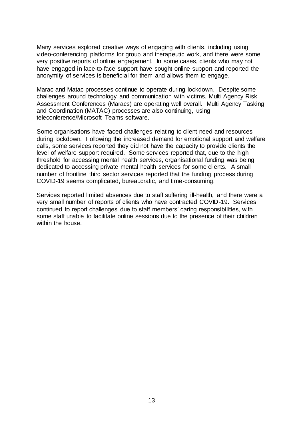Many services explored creative ways of engaging with clients, including using video-conferencing platforms for group and therapeutic work, and there were some very positive reports of online engagement. In some cases, clients who may not have engaged in face-to-face support have sought online support and reported the anonymity of services is beneficial for them and allows them to engage.

Marac and Matac processes continue to operate during lockdown.Despite some challenges around technology and communication with victims, Multi Agency Risk Assessment Conferences (Maracs) are operating well overall. Multi Agency Tasking and Coordination (MATAC) processes are also continuing, using teleconference/Microsoft Teams software.

Some organisations have faced challenges relating to client need and resources during lockdown.Following the increased demand for emotional support and welfare calls, some services reported they did not have the capacity to provide clients the level of welfare support required. Some services reported that, due to the high threshold for accessing mental health services, organisational funding was being dedicated to accessing private mental health services for some clients. A small number of frontline third sector services reported that the funding process during COVID-19 seems complicated, bureaucratic, and time-consuming.

Services reported limited absences due to staff suffering ill-health, and there were a very small number of reports of clients who have contracted COVID-19. Services continued to report challenges due to staff members' caring responsibilities, with some staff unable to facilitate online sessions due to the presence of their children within the house.